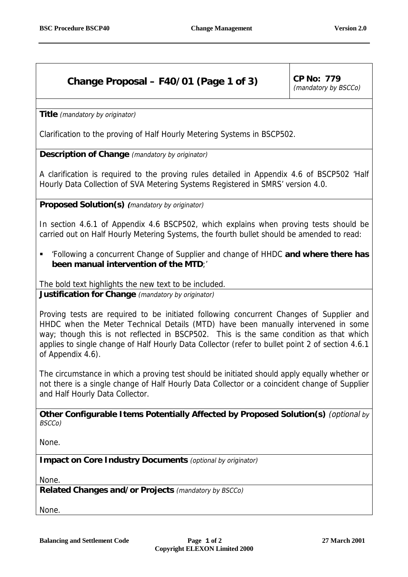## **Change Proposal – F40/01 (Page 1 of 3)** CP No:  $779$

(mandatory by BSCCo)

**Title** (mandatory by originator)

Clarification to the proving of Half Hourly Metering Systems in BSCP502.

**Description of Change** (mandatory by originator)

A clarification is required to the proving rules detailed in Appendix 4.6 of BSCP502 'Half Hourly Data Collection of SVA Metering Systems Registered in SMRS' version 4.0.

**Proposed Solution(s) (**mandatory by originator)

In section 4.6.1 of Appendix 4.6 BSCP502, which explains when proving tests should be carried out on Half Hourly Metering Systems, the fourth bullet should be amended to read:

! 'Following a concurrent Change of Supplier and change of HHDC **and where there has been manual intervention of the MTD**;'

The bold text highlights the new text to be included.

**Justification for Change** (mandatory by originator)

Proving tests are required to be initiated following concurrent Changes of Supplier and HHDC when the Meter Technical Details (MTD) have been manually intervened in some way; though this is not reflected in BSCP502. This is the same condition as that which applies to single change of Half Hourly Data Collector (refer to bullet point 2 of section 4.6.1 of Appendix 4.6).

The circumstance in which a proving test should be initiated should apply equally whether or not there is a single change of Half Hourly Data Collector or a coincident change of Supplier and Half Hourly Data Collector.

**Other Configurable Items Potentially Affected by Proposed Solution(s)** (optional by BSCCo)

None.

**Impact on Core Industry Documents** (optional by originator)

None.

**Related Changes and/or Projects** (mandatory by BSCCo)

None.